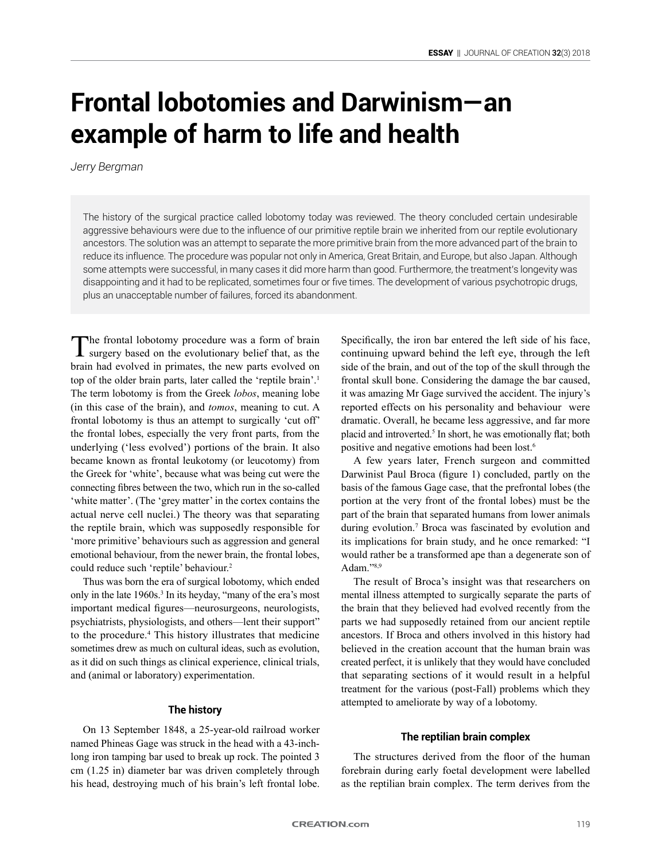# **Frontal lobotomies and Darwinism—an example of harm to life and health**

*Jerry Bergman*

The history of the surgical practice called lobotomy today was reviewed. The theory concluded certain undesirable aggressive behaviours were due to the influence of our primitive reptile brain we inherited from our reptile evolutionary ancestors. The solution was an attempt to separate the more primitive brain from the more advanced part of the brain to reduce its influence. The procedure was popular not only in America, Great Britain, and Europe, but also Japan. Although some attempts were successful, in many cases it did more harm than good. Furthermore, the treatment's longevity was disappointing and it had to be replicated, sometimes four or five times. The development of various psychotropic drugs, plus an unacceptable number of failures, forced its abandonment.

The frontal lobotomy procedure was a form of brain surgery based on the evolutionary belief that, as the brain had evolved in primates, the new parts evolved on top of the older brain parts, later called the 'reptile brain'.1 The term lobotomy is from the Greek *lobos*, meaning lobe (in this case of the brain), and *tomos*, meaning to cut. A frontal lobotomy is thus an attempt to surgically 'cut off' the frontal lobes, especially the very front parts, from the underlying ('less evolved') portions of the brain. It also became known as frontal leukotomy (or leucotomy) from the Greek for 'white', because what was being cut were the connecting fibres between the two, which run in the so-called 'white matter'. (The 'grey matter' in the cortex contains the actual nerve cell nuclei.) The theory was that separating the reptile brain, which was supposedly responsible for 'more primitive' behaviours such as aggression and general emotional behaviour, from the newer brain, the frontal lobes, could reduce such 'reptile' behaviour.<sup>2</sup>

Thus was born the era of surgical lobotomy, which ended only in the late 1960s.3 In its heyday, "many of the era's most important medical figures—neurosurgeons, neurologists, psychiatrists, physiologists, and others—lent their support" to the procedure.4 This history illustrates that medicine sometimes drew as much on cultural ideas, such as evolution, as it did on such things as clinical experience, clinical trials, and (animal or laboratory) experimentation.

# **The history**

On 13 September 1848, a 25-year-old railroad worker named Phineas Gage was struck in the head with a 43-inchlong iron tamping bar used to break up rock. The pointed 3 cm (1.25 in) diameter bar was driven completely through his head, destroying much of his brain's left frontal lobe.

Specifically, the iron bar entered the left side of his face, continuing upward behind the left eye, through the left side of the brain, and out of the top of the skull through the frontal skull bone. Considering the damage the bar caused, it was amazing Mr Gage survived the accident. The injury's reported effects on his personality and behaviour were dramatic. Overall, he became less aggressive, and far more placid and introverted.5 In short, he was emotionally flat; both positive and negative emotions had been lost.6

A few years later, French surgeon and committed Darwinist Paul Broca (figure 1) concluded, partly on the basis of the famous Gage case, that the prefrontal lobes (the portion at the very front of the frontal lobes) must be the part of the brain that separated humans from lower animals during evolution.<sup>7</sup> Broca was fascinated by evolution and its implications for brain study, and he once remarked: "I would rather be a transformed ape than a degenerate son of Adam."8,9

The result of Broca's insight was that researchers on mental illness attempted to surgically separate the parts of the brain that they believed had evolved recently from the parts we had supposedly retained from our ancient reptile ancestors. If Broca and others involved in this history had believed in the creation account that the human brain was created perfect, it is unlikely that they would have concluded that separating sections of it would result in a helpful treatment for the various (post-Fall) problems which they attempted to ameliorate by way of a lobotomy.

#### **The reptilian brain complex**

The structures derived from the floor of the human forebrain during early foetal development were labelled as the reptilian brain complex. The term derives from the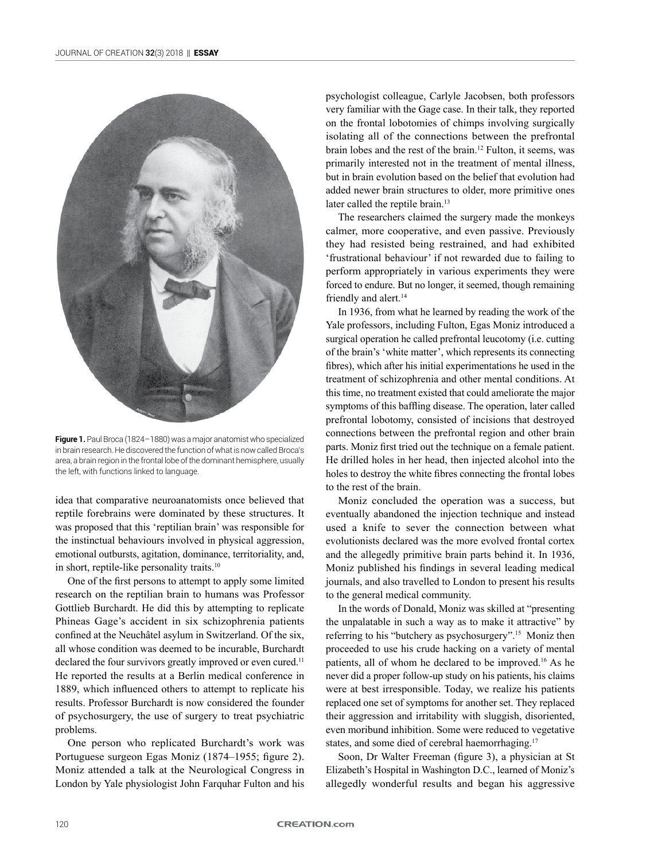

**Figure 1.** Paul Broca (1824–1880) was a major anatomist who specialized in brain research. He discovered the function of what is now called Broca's area, a brain region in the frontal lobe of the dominant hemisphere, usually the left, with functions linked to language.

idea that comparative neuroanatomists once believed that reptile forebrains were dominated by these structures. It was proposed that this 'reptilian brain' was responsible for the instinctual behaviours involved in physical aggression, emotional outbursts, agitation, dominance, territoriality, and, in short, reptile-like personality traits.<sup>10</sup>

One of the first persons to attempt to apply some limited research on the reptilian brain to humans was Professor Gottlieb Burchardt. He did this by attempting to replicate Phineas Gage's accident in six schizophrenia patients confined at the Neuchâtel asylum in Switzerland. Of the six, all whose condition was deemed to be incurable, Burchardt declared the four survivors greatly improved or even cured.<sup>11</sup> He reported the results at a Berlin medical conference in 1889, which influenced others to attempt to replicate his results. Professor Burchardt is now considered the founder of psychosurgery, the use of surgery to treat psychiatric problems.

One person who replicated Burchardt's work was Portuguese surgeon Egas Moniz (1874–1955; figure 2). Moniz attended a talk at the Neurological Congress in London by Yale physiologist John Farquhar Fulton and his psychologist colleague, Carlyle Jacobsen, both professors very familiar with the Gage case. In their talk, they reported on the frontal lobotomies of chimps involving surgically isolating all of the connections between the prefrontal brain lobes and the rest of the brain.12 Fulton, it seems, was primarily interested not in the treatment of mental illness, but in brain evolution based on the belief that evolution had added newer brain structures to older, more primitive ones later called the reptile brain.<sup>13</sup>

The researchers claimed the surgery made the monkeys calmer, more cooperative, and even passive. Previously they had resisted being restrained, and had exhibited 'frustrational behaviour' if not rewarded due to failing to perform appropriately in various experiments they were forced to endure. But no longer, it seemed, though remaining friendly and alert.<sup>14</sup>

In 1936, from what he learned by reading the work of the Yale professors, including Fulton, Egas Moniz introduced a surgical operation he called prefrontal leucotomy (i.e. cutting of the brain's 'white matter', which represents its connecting fibres), which after his initial experimentations he used in the treatment of schizophrenia and other mental conditions. At this time, no treatment existed that could ameliorate the major symptoms of this baffling disease. The operation, later called prefrontal lobotomy, consisted of incisions that destroyed connections between the prefrontal region and other brain parts. Moniz first tried out the technique on a female patient. He drilled holes in her head, then injected alcohol into the holes to destroy the white fibres connecting the frontal lobes to the rest of the brain.

Moniz concluded the operation was a success, but eventually abandoned the injection technique and instead used a knife to sever the connection between what evolutionists declared was the more evolved frontal cortex and the allegedly primitive brain parts behind it. In 1936, Moniz published his findings in several leading medical journals, and also travelled to London to present his results to the general medical community.

In the words of Donald, Moniz was skilled at "presenting the unpalatable in such a way as to make it attractive" by referring to his "butchery as psychosurgery".15 Moniz then proceeded to use his crude hacking on a variety of mental patients, all of whom he declared to be improved.16 As he never did a proper follow-up study on his patients, his claims were at best irresponsible. Today, we realize his patients replaced one set of symptoms for another set. They replaced their aggression and irritability with sluggish, disoriented, even moribund inhibition. Some were reduced to vegetative states, and some died of cerebral haemorrhaging.<sup>17</sup>

Soon, Dr Walter Freeman (figure 3), a physician at St Elizabeth's Hospital in Washington D.C., learned of Moniz's allegedly wonderful results and began his aggressive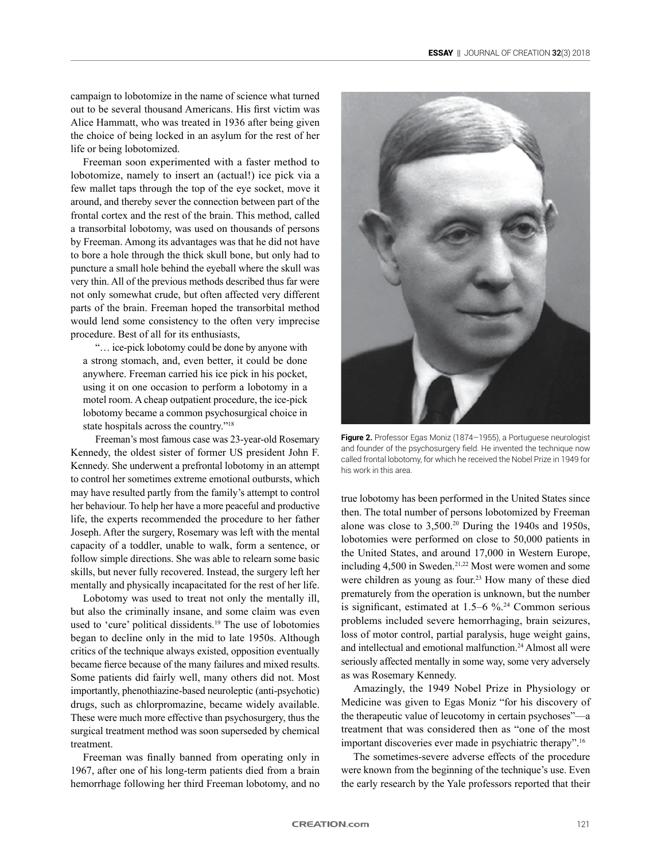campaign to lobotomize in the name of science what turned out to be several thousand Americans. His first victim was Alice Hammatt, who was treated in 1936 after being given the choice of being locked in an asylum for the rest of her life or being lobotomized.

Freeman soon experimented with a faster method to lobotomize, namely to insert an (actual!) ice pick via a few mallet taps through the top of the eye socket, move it around, and thereby sever the connection between part of the frontal cortex and the rest of the brain. This method, called a transorbital lobotomy, was used on thousands of persons by Freeman. Among its advantages was that he did not have to bore a hole through the thick skull bone, but only had to puncture a small hole behind the eyeball where the skull was very thin. All of the previous methods described thus far were not only somewhat crude, but often affected very different parts of the brain. Freeman hoped the transorbital method would lend some consistency to the often very imprecise procedure. Best of all for its enthusiasts,

"… ice-pick lobotomy could be done by anyone with a strong stomach, and, even better, it could be done anywhere. Freeman carried his ice pick in his pocket, using it on one occasion to perform a lobotomy in a motel room. A cheap outpatient procedure, the ice-pick lobotomy became a common psychosurgical choice in state hospitals across the country."18

Freeman's most famous case was 23-year-old Rosemary Kennedy, the oldest sister of former US president John F. Kennedy. She underwent a prefrontal lobotomy in an attempt to control her sometimes extreme emotional outbursts, which may have resulted partly from the family's attempt to control her behaviour. To help her have a more peaceful and productive life, the experts recommended the procedure to her father Joseph. After the surgery, Rosemary was left with the mental capacity of a toddler, unable to walk, form a sentence, or follow simple directions. She was able to relearn some basic skills, but never fully recovered. Instead, the surgery left her mentally and physically incapacitated for the rest of her life.

Lobotomy was used to treat not only the mentally ill, but also the criminally insane, and some claim was even used to 'cure' political dissidents.<sup>19</sup> The use of lobotomies began to decline only in the mid to late 1950s. Although critics of the technique always existed, opposition eventually became fierce because of the many failures and mixed results. Some patients did fairly well, many others did not. Most importantly, phenothiazine-based neuroleptic (anti-psychotic) drugs, such as chlorpromazine, became widely available. These were much more effective than psychosurgery, thus the surgical treatment method was soon superseded by chemical treatment.

Freeman was finally banned from operating only in 1967, after one of his long-term patients died from a brain hemorrhage following her third Freeman lobotomy, and no



**Figure 2.** Professor Egas Moniz (1874–1955), a Portuguese neurologist and founder of the psychosurgery field. He invented the technique now called frontal lobotomy, for which he received the Nobel Prize in 1949 for his work in this area.

true lobotomy has been performed in the United States since then. The total number of persons lobotomized by Freeman alone was close to 3,500.20 During the 1940s and 1950s, lobotomies were performed on close to 50,000 patients in the United States, and around 17,000 in Western Europe, including 4,500 in Sweden.<sup>21,22</sup> Most were women and some were children as young as four.<sup>23</sup> How many of these died prematurely from the operation is unknown, but the number is significant, estimated at  $1.5-6\%$ .<sup>24</sup> Common serious problems included severe hemorrhaging, brain seizures, loss of motor control, partial paralysis, huge weight gains, and intellectual and emotional malfunction.<sup>24</sup> Almost all were seriously affected mentally in some way, some very adversely as was Rosemary Kennedy.

Amazingly, the 1949 Nobel Prize in Physiology or Medicine was given to Egas Moniz "for his discovery of the therapeutic value of leucotomy in certain psychoses"—a treatment that was considered then as "one of the most important discoveries ever made in psychiatric therapy".<sup>16</sup>

The sometimes-severe adverse effects of the procedure were known from the beginning of the technique's use. Even the early research by the Yale professors reported that their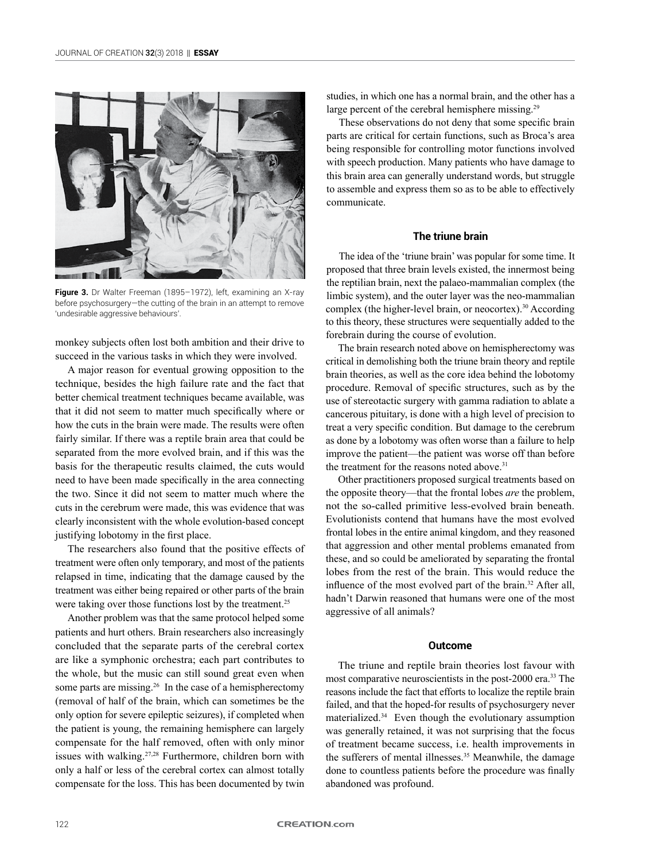

Figure 3. Dr Walter Freeman (1895-1972), left, examining an X-ray before psychosurgery—the cutting of the brain in an attempt to remove 'undesirable aggressive behaviours'.

monkey subjects often lost both ambition and their drive to succeed in the various tasks in which they were involved.

A major reason for eventual growing opposition to the technique, besides the high failure rate and the fact that better chemical treatment techniques became available, was that it did not seem to matter much specifically where or how the cuts in the brain were made. The results were often fairly similar. If there was a reptile brain area that could be separated from the more evolved brain, and if this was the basis for the therapeutic results claimed, the cuts would need to have been made specifically in the area connecting the two. Since it did not seem to matter much where the cuts in the cerebrum were made, this was evidence that was clearly inconsistent with the whole evolution-based concept justifying lobotomy in the first place.

The researchers also found that the positive effects of treatment were often only temporary, and most of the patients relapsed in time, indicating that the damage caused by the treatment was either being repaired or other parts of the brain were taking over those functions lost by the treatment.<sup>25</sup>

Another problem was that the same protocol helped some patients and hurt others. Brain researchers also increasingly concluded that the separate parts of the cerebral cortex are like a symphonic orchestra; each part contributes to the whole, but the music can still sound great even when some parts are missing.<sup>26</sup> In the case of a hemispherectomy (removal of half of the brain, which can sometimes be the only option for severe epileptic seizures), if completed when the patient is young, the remaining hemisphere can largely compensate for the half removed, often with only minor issues with walking.<sup>27,28</sup> Furthermore, children born with only a half or less of the cerebral cortex can almost totally compensate for the loss. This has been documented by twin studies, in which one has a normal brain, and the other has a large percent of the cerebral hemisphere missing.<sup>29</sup>

These observations do not deny that some specific brain parts are critical for certain functions, such as Broca's area being responsible for controlling motor functions involved with speech production. Many patients who have damage to this brain area can generally understand words, but struggle to assemble and express them so as to be able to effectively communicate.

# **The triune brain**

The idea of the 'triune brain' was popular for some time. It proposed that three brain levels existed, the innermost being the reptilian brain, next the palaeo-mammalian complex (the limbic system), and the outer layer was the neo-mammalian complex (the higher-level brain, or neocortex).<sup>30</sup> According to this theory, these structures were sequentially added to the forebrain during the course of evolution.

The brain research noted above on hemispherectomy was critical in demolishing both the triune brain theory and reptile brain theories, as well as the core idea behind the lobotomy procedure. Removal of specific structures, such as by the use of stereotactic surgery with gamma radiation to ablate a cancerous pituitary, is done with a high level of precision to treat a very specific condition. But damage to the cerebrum as done by a lobotomy was often worse than a failure to help improve the patient—the patient was worse off than before the treatment for the reasons noted above.<sup>31</sup>

Other practitioners proposed surgical treatments based on the opposite theory—that the frontal lobes *are* the problem, not the so-called primitive less-evolved brain beneath. Evolutionists contend that humans have the most evolved frontal lobes in the entire animal kingdom, and they reasoned that aggression and other mental problems emanated from these, and so could be ameliorated by separating the frontal lobes from the rest of the brain. This would reduce the influence of the most evolved part of the brain.<sup>32</sup> After all, hadn't Darwin reasoned that humans were one of the most aggressive of all animals?

## **Outcome**

The triune and reptile brain theories lost favour with most comparative neuroscientists in the post-2000 era.33 The reasons include the fact that efforts to localize the reptile brain failed, and that the hoped-for results of psychosurgery never materialized.34 Even though the evolutionary assumption was generally retained, it was not surprising that the focus of treatment became success, i.e. health improvements in the sufferers of mental illnesses.<sup>35</sup> Meanwhile, the damage done to countless patients before the procedure was finally abandoned was profound.